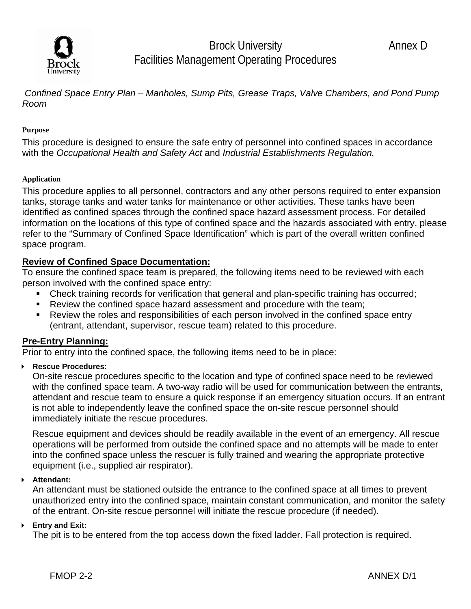

Brock University **Annex D** Facilities Management Operating Procedures

 *Confined Space Entry Plan – Manholes, Sump Pits, Grease Traps, Valve Chambers, and Pond Pump Room* 

#### **Purpose**

This procedure is designed to ensure the safe entry of personnel into confined spaces in accordance with the *Occupational Health and Safety Act* and *Industrial Establishments Regulation.* 

#### **Application**

This procedure applies to all personnel, contractors and any other persons required to enter expansion tanks, storage tanks and water tanks for maintenance or other activities. These tanks have been identified as confined spaces through the confined space hazard assessment process. For detailed information on the locations of this type of confined space and the hazards associated with entry, please refer to the "Summary of Confined Space Identification" which is part of the overall written confined space program.

#### **Review of Confined Space Documentation:**

To ensure the confined space team is prepared, the following items need to be reviewed with each person involved with the confined space entry:

- Check training records for verification that general and plan-specific training has occurred;
- Review the confined space hazard assessment and procedure with the team;
- Review the roles and responsibilities of each person involved in the confined space entry (entrant, attendant, supervisor, rescue team) related to this procedure.

#### **Pre-Entry Planning:**

Prior to entry into the confined space, the following items need to be in place:

#### **Rescue Procedures:**

On-site rescue procedures specific to the location and type of confined space need to be reviewed with the confined space team. A two-way radio will be used for communication between the entrants, attendant and rescue team to ensure a quick response if an emergency situation occurs. If an entrant is not able to independently leave the confined space the on-site rescue personnel should immediately initiate the rescue procedures.

Rescue equipment and devices should be readily available in the event of an emergency. All rescue operations will be performed from outside the confined space and no attempts will be made to enter into the confined space unless the rescuer is fully trained and wearing the appropriate protective equipment (i.e., supplied air respirator).

#### **Attendant:**

An attendant must be stationed outside the entrance to the confined space at all times to prevent unauthorized entry into the confined space, maintain constant communication, and monitor the safety of the entrant. On-site rescue personnel will initiate the rescue procedure (if needed).

#### **Entry and Exit:**

The pit is to be entered from the top access down the fixed ladder. Fall protection is required.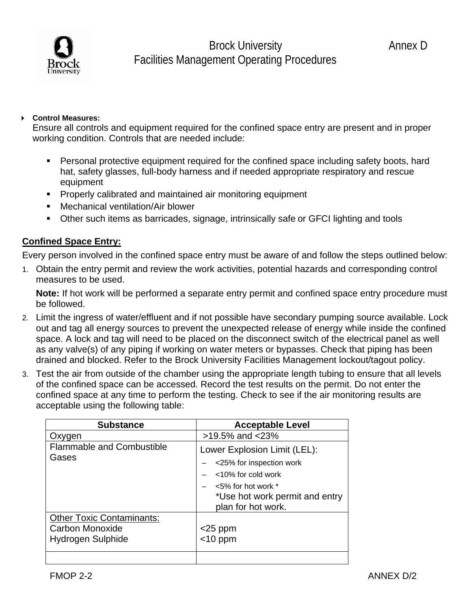### **Control Measures:**

Ensure all controls and equipment required for the confined space entry are present and in proper working condition. Controls that are needed include:

- Personal protective equipment required for the confined space including safety boots, hard hat, safety glasses, full-body harness and if needed appropriate respiratory and rescue equipment
- **Properly calibrated and maintained air monitoring equipment**
- Mechanical ventilation/Air blower
- Other such items as barricades, signage, intrinsically safe or GFCI lighting and tools

## **Confined Space Entry:**

Every person involved in the confined space entry must be aware of and follow the steps outlined below:

1. Obtain the entry permit and review the work activities, potential hazards and corresponding control measures to be used.

 **Note:** If hot work will be performed a separate entry permit and confined space entry procedure must be followed.

- 2. Limit the ingress of water/effluent and if not possible have secondary pumping source available. Lock out and tag all energy sources to prevent the unexpected release of energy while inside the confined space. A lock and tag will need to be placed on the disconnect switch of the electrical panel as well as any valve(s) of any piping if working on water meters or bypasses. Check that piping has been drained and blocked. Refer to the Brock University Facilities Management lockout/tagout policy.
- 3. Test the air from outside of the chamber using the appropriate length tubing to ensure that all levels of the confined space can be accessed. Record the test results on the permit. Do not enter the confined space at any time to perform the testing. Check to see if the air monitoring results are acceptable using the following table:

| <b>Substance</b>                          | <b>Acceptable Level</b>                                                                                                                                              |
|-------------------------------------------|----------------------------------------------------------------------------------------------------------------------------------------------------------------------|
| Oxygen                                    | $>19.5\%$ and $<23\%$                                                                                                                                                |
| <b>Flammable and Combustible</b><br>Gases | Lower Explosion Limit (LEL):<br><25% for inspection work<br>$<$ 10% for cold work<br>$<$ 5% for hot work $*$<br>*Use hot work permit and entry<br>plan for hot work. |
| <b>Other Toxic Contaminants:</b>          |                                                                                                                                                                      |
| Carbon Monoxide                           | $<$ 25 ppm                                                                                                                                                           |
| Hydrogen Sulphide                         | $<$ 10 ppm                                                                                                                                                           |
|                                           |                                                                                                                                                                      |